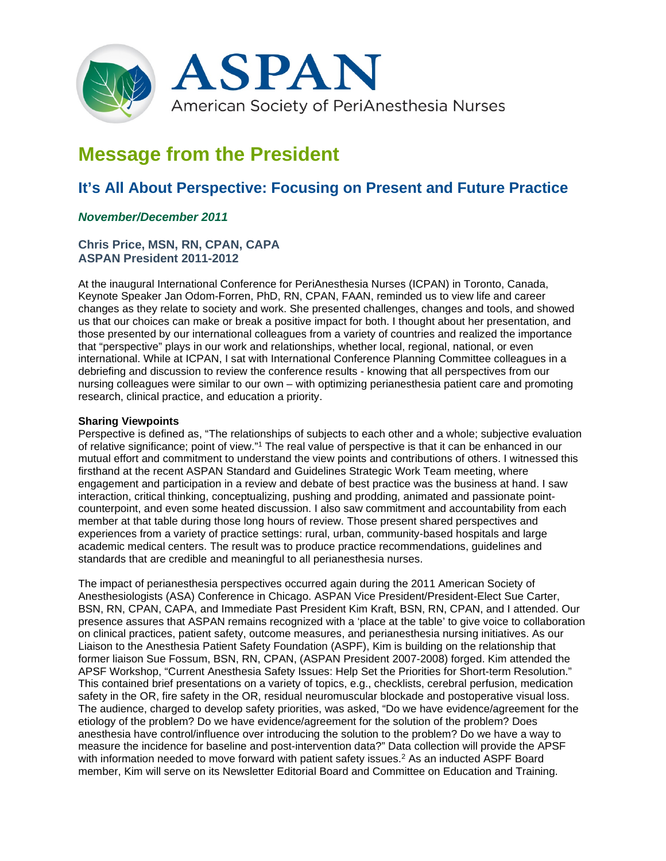

# **Message from the President**

## **It's All About Perspective: Focusing on Present and Future Practice**

### *November/December 2011*

#### **Chris Price, MSN, RN, CPAN, CAPA ASPAN President 2011-2012**

At the inaugural International Conference for PeriAnesthesia Nurses (ICPAN) in Toronto, Canada, Keynote Speaker Jan Odom-Forren, PhD, RN, CPAN, FAAN, reminded us to view life and career changes as they relate to society and work. She presented challenges, changes and tools, and showed us that our choices can make or break a positive impact for both. I thought about her presentation, and those presented by our international colleagues from a variety of countries and realized the importance that "perspective" plays in our work and relationships, whether local, regional, national, or even international. While at ICPAN, I sat with International Conference Planning Committee colleagues in a debriefing and discussion to review the conference results - knowing that all perspectives from our nursing colleagues were similar to our own – with optimizing perianesthesia patient care and promoting research, clinical practice, and education a priority.

#### **Sharing Viewpoints**

Perspective is defined as, "The relationships of subjects to each other and a whole; subjective evaluation of relative significance; point of view."1 The real value of perspective is that it can be enhanced in our mutual effort and commitment to understand the view points and contributions of others. I witnessed this firsthand at the recent ASPAN Standard and Guidelines Strategic Work Team meeting, where engagement and participation in a review and debate of best practice was the business at hand. I saw interaction, critical thinking, conceptualizing, pushing and prodding, animated and passionate pointcounterpoint, and even some heated discussion. I also saw commitment and accountability from each member at that table during those long hours of review. Those present shared perspectives and experiences from a variety of practice settings: rural, urban, community-based hospitals and large academic medical centers. The result was to produce practice recommendations, guidelines and standards that are credible and meaningful to all perianesthesia nurses.

The impact of perianesthesia perspectives occurred again during the 2011 American Society of Anesthesiologists (ASA) Conference in Chicago. ASPAN Vice President/President-Elect Sue Carter, BSN, RN, CPAN, CAPA, and Immediate Past President Kim Kraft, BSN, RN, CPAN, and I attended. Our presence assures that ASPAN remains recognized with a 'place at the table' to give voice to collaboration on clinical practices, patient safety, outcome measures, and perianesthesia nursing initiatives. As our Liaison to the Anesthesia Patient Safety Foundation (ASPF), Kim is building on the relationship that former liaison Sue Fossum, BSN, RN, CPAN, (ASPAN President 2007-2008) forged. Kim attended the APSF Workshop, "Current Anesthesia Safety Issues: Help Set the Priorities for Short-term Resolution." This contained brief presentations on a variety of topics, e.g., checklists, cerebral perfusion, medication safety in the OR, fire safety in the OR, residual neuromuscular blockade and postoperative visual loss. The audience, charged to develop safety priorities, was asked, "Do we have evidence/agreement for the etiology of the problem? Do we have evidence/agreement for the solution of the problem? Does anesthesia have control/influence over introducing the solution to the problem? Do we have a way to measure the incidence for baseline and post-intervention data?" Data collection will provide the APSF with information needed to move forward with patient safety issues.<sup>2</sup> As an inducted ASPF Board member, Kim will serve on its Newsletter Editorial Board and Committee on Education and Training.